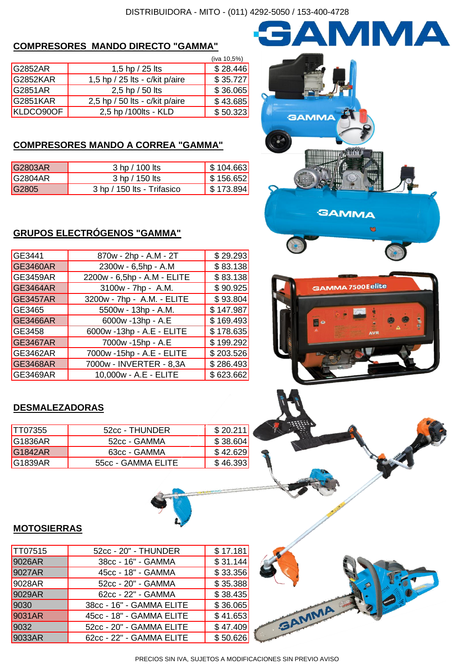# **COMPRESORES MANDO DIRECTO "GAMMA"**

|                |                                   | (iva 10,5%) |
|----------------|-----------------------------------|-------------|
| <b>G2852AR</b> | 1,5 hp / 25 lts                   | \$28.446    |
| G2852KAR       | 1,5 hp / 25 lts - $c/k$ it p/aire | \$35.727    |
| G2851AR        | 2,5 hp / 50 lts                   | \$36.065    |
| G2851KAR       | 2,5 hp / 50 lts - c/kit p/aire    | \$43.685    |
| KLDCO90OF      | 2,5 hp /100lts - KLD              | \$50.323    |

## **COMPRESORES MANDO A CORREA "GAMMA"**

| G2803AR         | 3 hp / 100 lts             | $\frac{1}{2}$ \$ 104.663 |
|-----------------|----------------------------|--------------------------|
| <b>IG2804AR</b> | 3 hp / 150 lts             | $\frac{1}{2}$ \$ 156.652 |
| G2805           | 3 hp / 150 lts - Trifasico | $\sqrt{$}3.894$          |

# **GRUPOS ELECTRÓGENOS "GAMMA"**

| GE3441          | 870w - 2hp - A.M - 2T       | \$29.293  |
|-----------------|-----------------------------|-----------|
| GE3460AR        | 2300w - 6,5hp - A.M         | \$83.138  |
| <b>GE3459AR</b> | 2200w - 6,5hp - A.M - ELITE | \$83.138  |
| GE3464AR        | 3100w - 7hp - A.M.          | \$90.925  |
| GE3457AR        | 3200w - 7hp - A.M. - ELITE  | \$93.804  |
| GE3465          | 5500w - 13hp - A.M.         | \$147.987 |
| GE3466AR        | 6000w -13hp - A.E           | \$169.493 |
| GE3458          | 6000w -13hp - A.E - ELITE   | \$178.635 |
| GE3467AR        | 7000w -15hp - A.E           | \$199.292 |
| <b>GE3462AR</b> | 7000w -15hp - A.E - ELITE   | \$203.526 |
| GE3468AR        | 7000w - INVERTER - 8,3A     | \$286.493 |
| <b>GE3469AR</b> | 10,000w - A.E - ELITE       | \$623.662 |

# **DESMALEZADORAS**

| TT07355  | 52cc - THUNDER     | \$20.211 |
|----------|--------------------|----------|
| IG1836AR | 52cc - GAMMA       | \$38.604 |
| G1842AR  | 63cc - GAMMA       | \$42.629 |
| IG1839AR | 55cc - GAMMA ELITE | \$46.393 |



AMMA





## **MOTOSIERRAS**

| TT07515 | 52cc - 20" - THUNDER     | \$17.181 |
|---------|--------------------------|----------|
| 9026AR  | 38cc - 16" - GAMMA       | \$31.144 |
| 9027AR  | 45cc - 18" - GAMMA       | \$33.356 |
| 9028AR  | 52cc - 20" - GAMMA       | \$35.388 |
| 9029AR  | 62cc - 22" - GAMMA       | \$38.435 |
| 9030    | 38cc - 16" - GAMMA ELITE | \$36.065 |
| 9031AR  | 45cc - 18" - GAMMA ELITE | \$41.653 |
| 9032    | 52cc - 20" - GAMMA ELITE | \$47.409 |
| 9033AR  | 62cc - 22" - GAMMA ELITE | \$50.626 |
|         |                          |          |